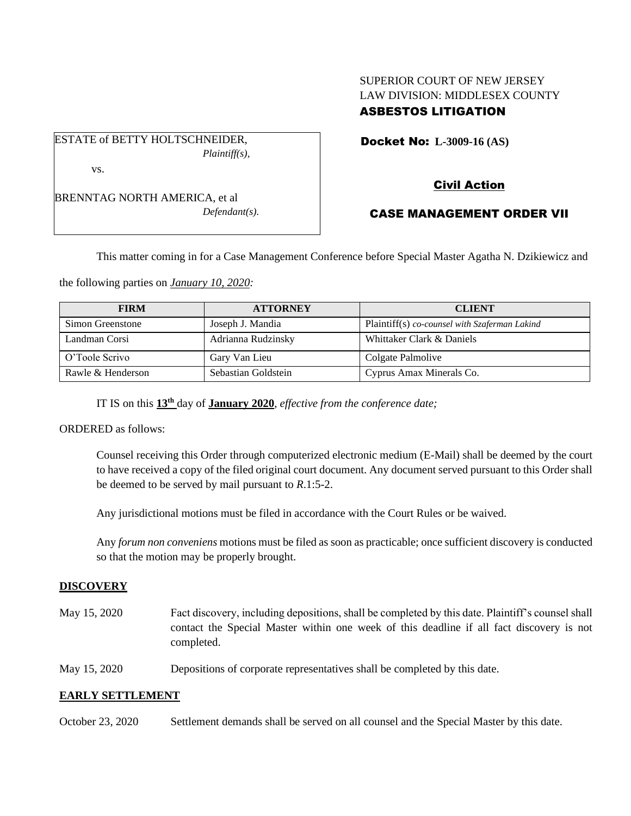# SUPERIOR COURT OF NEW JERSEY LAW DIVISION: MIDDLESEX COUNTY ASBESTOS LITIGATION

ESTATE of BETTY HOLTSCHNEIDER, *Plaintiff(s),* vs.

BRENNTAG NORTH AMERICA, et al *Defendant(s).* Docket No: **L-3009-16 (AS)** 

# Civil Action

# CASE MANAGEMENT ORDER VII

This matter coming in for a Case Management Conference before Special Master Agatha N. Dzikiewicz and

the following parties on *January 10, 2020:*

| <b>FIRM</b>       | <b>ATTORNEY</b>     | <b>CLIENT</b>                                 |
|-------------------|---------------------|-----------------------------------------------|
| Simon Greenstone  | Joseph J. Mandia    | Plaintiff(s) co-counsel with Szaferman Lakind |
| Landman Corsi     | Adrianna Rudzinsky  | Whittaker Clark & Daniels                     |
| O'Toole Scrivo    | Gary Van Lieu       | Colgate Palmolive                             |
| Rawle & Henderson | Sebastian Goldstein | Cyprus Amax Minerals Co.                      |

IT IS on this **13th** day of **January 2020**, *effective from the conference date;*

ORDERED as follows:

Counsel receiving this Order through computerized electronic medium (E-Mail) shall be deemed by the court to have received a copy of the filed original court document. Any document served pursuant to this Order shall be deemed to be served by mail pursuant to *R*.1:5-2.

Any jurisdictional motions must be filed in accordance with the Court Rules or be waived.

Any *forum non conveniens* motions must be filed as soon as practicable; once sufficient discovery is conducted so that the motion may be properly brought.

### **DISCOVERY**

- May 15, 2020 Fact discovery, including depositions, shall be completed by this date. Plaintiff's counsel shall contact the Special Master within one week of this deadline if all fact discovery is not completed.
- May 15, 2020 Depositions of corporate representatives shall be completed by this date.

### **EARLY SETTLEMENT**

October 23, 2020 Settlement demands shall be served on all counsel and the Special Master by this date.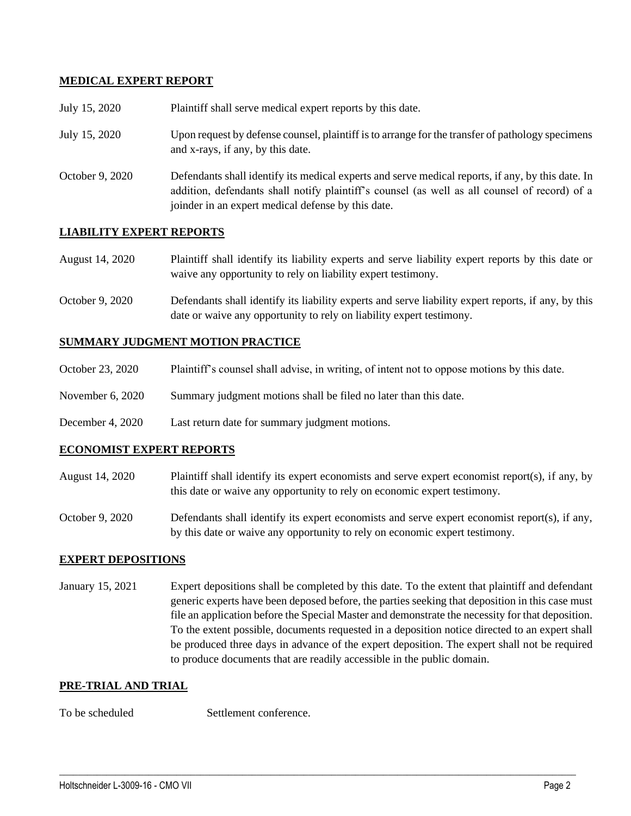### **MEDICAL EXPERT REPORT**

| July 15, 2020   | Plaintiff shall serve medical expert reports by this date.                                                                                                                                                                                               |
|-----------------|----------------------------------------------------------------------------------------------------------------------------------------------------------------------------------------------------------------------------------------------------------|
| July 15, 2020   | Upon request by defense counsel, plaintiff is to arrange for the transfer of pathology specimens<br>and x-rays, if any, by this date.                                                                                                                    |
| October 9, 2020 | Defendants shall identify its medical experts and serve medical reports, if any, by this date. In<br>addition, defendants shall notify plaintiff's counsel (as well as all counsel of record) of a<br>joinder in an expert medical defense by this date. |

### **LIABILITY EXPERT REPORTS**

| August 14, 2020 | Plaintiff shall identify its liability experts and serve liability expert reports by this date or |
|-----------------|---------------------------------------------------------------------------------------------------|
|                 | waive any opportunity to rely on liability expert testimony.                                      |

October 9, 2020 Defendants shall identify its liability experts and serve liability expert reports, if any, by this date or waive any opportunity to rely on liability expert testimony.

#### **SUMMARY JUDGMENT MOTION PRACTICE**

- October 23, 2020 Plaintiff's counsel shall advise, in writing, of intent not to oppose motions by this date.
- November 6, 2020 Summary judgment motions shall be filed no later than this date.
- December 4, 2020 Last return date for summary judgment motions.

#### **ECONOMIST EXPERT REPORTS**

- August 14, 2020 Plaintiff shall identify its expert economists and serve expert economist report(s), if any, by this date or waive any opportunity to rely on economic expert testimony.
- October 9, 2020 Defendants shall identify its expert economists and serve expert economist report(s), if any, by this date or waive any opportunity to rely on economic expert testimony.

#### **EXPERT DEPOSITIONS**

January 15, 2021 Expert depositions shall be completed by this date. To the extent that plaintiff and defendant generic experts have been deposed before, the parties seeking that deposition in this case must file an application before the Special Master and demonstrate the necessity for that deposition. To the extent possible, documents requested in a deposition notice directed to an expert shall be produced three days in advance of the expert deposition. The expert shall not be required to produce documents that are readily accessible in the public domain.

 $\_$  , and the set of the set of the set of the set of the set of the set of the set of the set of the set of the set of the set of the set of the set of the set of the set of the set of the set of the set of the set of th

#### **PRE-TRIAL AND TRIAL**

To be scheduled Settlement conference.